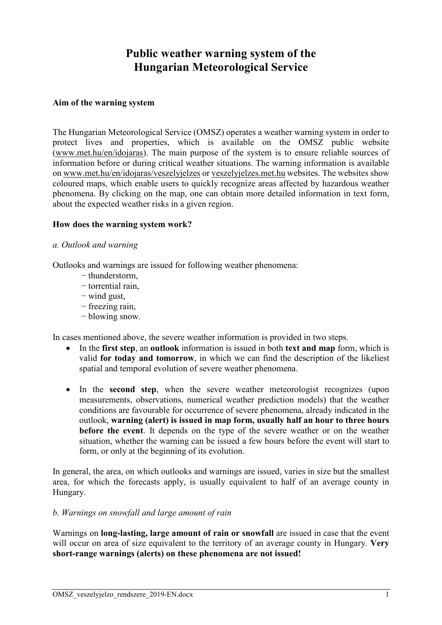# **Public weather warning system of the Hungarian Meteorological Service**

### **Aim of the warning system**

The Hungarian Meteorological Service (OMSZ) operates a weather warning system in order to protect lives and properties, which is available on the OMSZ public website [\(www.met.hu/en/idojaras\)](http://www.met.hu/en/idojaras). The main purpose of the system is to ensure reliable sources of information before or during critical weather situations. The warning information is available on [www.met.hu/en/idojaras/veszelyjelzes](http://www.met.hu/en/idojaras/veszelyjelzes) or [veszelyjelzes.met.hu](https://veszelyjelzes.met.hu/) websites. The websites show coloured maps, which enable users to quickly recognize areas affected by hazardous weather phenomena. By clicking on the map, one can obtain more detailed information in text form, about the expected weather risks in a given region.

#### **How does the warning system work?**

#### *a. Outlook and warning*

Outlooks and warnings are issued for following weather phenomena:

- − thunderstorm,
- − torrential rain,
- − wind gust,
- − freezing rain,
- − blowing snow.

In cases mentioned above, the severe weather information is provided in two steps.

- In the **first step**, an **outlook** information is issued in both **text and map** form, which is valid **for today and tomorrow**, in which we can find the description of the likeliest spatial and temporal evolution of severe weather phenomena.
- In the **second step**, when the severe weather meteorologist recognizes (upon measurements, observations, numerical weather prediction models) that the weather conditions are favourable for occurrence of severe phenomena, already indicated in the outlook, **warning (alert) is issued in map form, usually half an hour to three hours before the event**. It depends on the type of the severe weather or on the weather situation, whether the warning can be issued a few hours before the event will start to form, or only at the beginning of its evolution.

In general, the area, on which outlooks and warnings are issued, varies in size but the smallest area, for which the forecasts apply, is usually equivalent to half of an average county in Hungary.

#### *b. Warnings on snowfall and large amount of rain*

Warnings on **long-lasting, large amount of rain or snowfall** are issued in case that the event will occur on area of size equivalent to the territory of an average county in Hungary. **Very short-range warnings (alerts) on these phenomena are not issued!**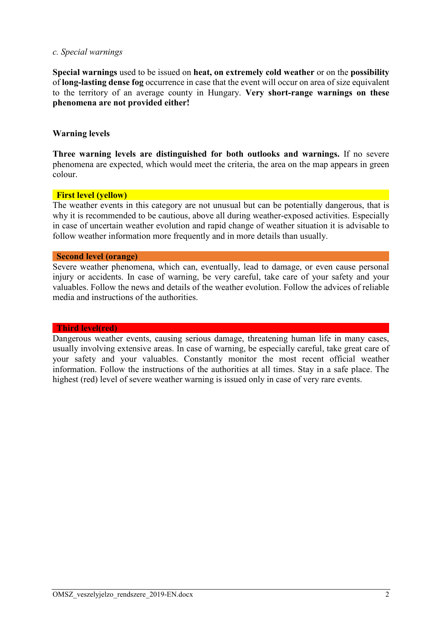#### *c. Special warnings*

**Special warnings** used to be issued on **heat, on extremely cold weather** or on the **possibility** of **long-lasting dense fog** occurrence in case that the event will occur on area of size equivalent to the territory of an average county in Hungary. **Very short-range warnings on these phenomena are not provided either!**

### **Warning levels**

**Three warning levels are distinguished for both outlooks and warnings.** If no severe phenomena are expected, which would meet the criteria, the area on the map appears in green colour.

#### **First level (yellow)**

The weather events in this category are not unusual but can be potentially dangerous, that is why it is recommended to be cautious, above all during weather-exposed activities. Especially in case of uncertain weather evolution and rapid change of weather situation it is advisable to follow weather information more frequently and in more details than usually.

#### **Second level (orange)**

Severe weather phenomena, which can, eventually, lead to damage, or even cause personal injury or accidents. In case of warning, be very careful, take care of your safety and your valuables. Follow the news and details of the weather evolution. Follow the advices of reliable media and instructions of the authorities.

#### **Third level(red)**

Dangerous weather events, causing serious damage, threatening human life in many cases, usually involving extensive areas. In case of warning, be especially careful, take great care of your safety and your valuables. Constantly monitor the most recent official weather information. Follow the instructions of the authorities at all times. Stay in a safe place. The highest (red) level of severe weather warning is issued only in case of very rare events.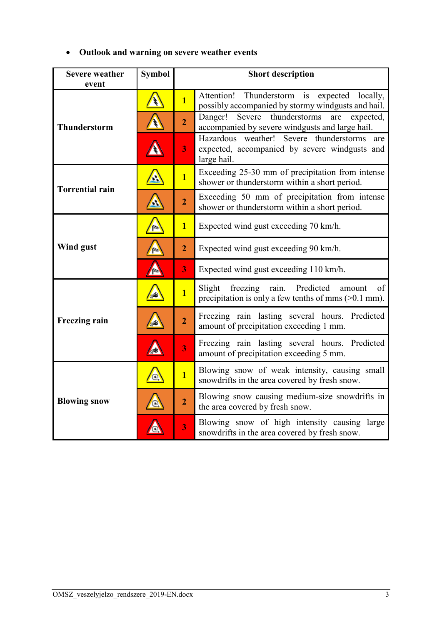|  | • Outlook and warning on severe weather events |  |  |  |  |
|--|------------------------------------------------|--|--|--|--|
|--|------------------------------------------------|--|--|--|--|

| <b>Severe weather</b>  | <b>Symbol</b>              | <b>Short description</b> |                                                                                                                    |  |
|------------------------|----------------------------|--------------------------|--------------------------------------------------------------------------------------------------------------------|--|
| event                  |                            |                          |                                                                                                                    |  |
|                        |                            | $\overline{1}$           | Attention!<br>Thunderstorm<br>is<br>expected locally,<br>possibly accompanied by stormy windgusts and hail.        |  |
| <b>Thunderstorm</b>    |                            | $\overline{2}$           | thunderstorms<br>Danger!<br>Severe<br>are<br>expected,<br>accompanied by severe windgusts and large hail.          |  |
|                        |                            | 3                        | Hazardous weather! Severe thunderstorms<br>are<br>expected, accompanied by severe windgusts and<br>large hail.     |  |
| <b>Torrential rain</b> |                            | $\overline{1}$           | Exceeding 25-30 mm of precipitation from intense<br>shower or thunderstorm within a short period.                  |  |
|                        | Ą                          | $\overline{2}$           | Exceeding 50 mm of precipitation from intense<br>shower or thunderstorm within a short period.                     |  |
|                        | f40                        | $\mathbf{1}$             | Expected wind gust exceeding 70 km/h.                                                                              |  |
| Wind gust              | fte                        |                          | Expected wind gust exceeding 90 km/h.                                                                              |  |
|                        | 7.                         | 3                        | Expected wind gust exceeding 110 km/h.                                                                             |  |
|                        | ₩                          | $\overline{\mathbf{1}}$  | Predicted<br>Slight<br>freezing<br>rain.<br>of<br>amount<br>precipitation is only a few tenths of mms $(>0.1$ mm). |  |
| <b>Freezing rain</b>   | ا≢ی                        | $\overline{2}$           | Freezing rain lasting several hours. Predicted<br>amount of precipitation exceeding 1 mm.                          |  |
|                        |                            | $\overline{\mathbf{3}}$  | Freezing rain lasting several hours. Predicted<br>amount of precipitation exceeding 5 mm.                          |  |
|                        | $\left( \mathbf{A}\right)$ | $\overline{1}$           | Blowing snow of weak intensity, causing small<br>snowdrifts in the area covered by fresh snow.                     |  |
| <b>Blowing snow</b>    |                            | $\overline{2}$           | Blowing snow causing medium-size snowdrifts in<br>the area covered by fresh snow.                                  |  |
|                        |                            | $\overline{\mathbf{3}}$  | Blowing snow of high intensity causing<br>large<br>snowdrifts in the area covered by fresh snow.                   |  |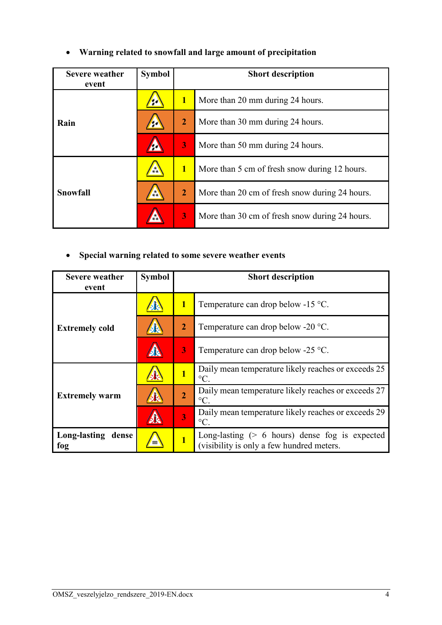| Warning related to snowfall and large amount of precipitation |  |  |
|---------------------------------------------------------------|--|--|
|                                                               |  |  |

| <b>Severe weather</b><br>event | <b>Symbol</b> | <b>Short description</b> |                                                |  |
|--------------------------------|---------------|--------------------------|------------------------------------------------|--|
|                                |               | $\overline{\mathbf{1}}$  | More than 20 mm during 24 hours.               |  |
| Rain                           |               | $\overline{2}$           | More than 30 mm during 24 hours.               |  |
|                                |               | 3                        | More than 50 mm during 24 hours.               |  |
|                                |               | $\mathbf{1}$             | More than 5 cm of fresh snow during 12 hours.  |  |
| <b>Snowfall</b>                |               | $\overline{2}$           | More than 20 cm of fresh snow during 24 hours. |  |
|                                |               | 3                        | More than 30 cm of fresh snow during 24 hours. |  |

## • **Special warning related to some severe weather events**

| <b>Severe weather</b><br>event | <b>Symbol</b> | <b>Short description</b> |                                                                                                       |  |  |
|--------------------------------|---------------|--------------------------|-------------------------------------------------------------------------------------------------------|--|--|
|                                |               | $\mathbf{1}$             | Temperature can drop below -15 °C.                                                                    |  |  |
| <b>Extremely cold</b>          |               | $\overline{2}$           | Temperature can drop below -20 $^{\circ}$ C.                                                          |  |  |
|                                |               | 3                        | Temperature can drop below -25 $^{\circ}$ C.                                                          |  |  |
|                                |               |                          | Daily mean temperature likely reaches or exceeds 25<br>$\rm ^{\circ}C$                                |  |  |
| <b>Extremely warm</b>          |               | $\overline{2}$           | Daily mean temperature likely reaches or exceeds 27<br>$\rm ^{\circ}C$ .                              |  |  |
|                                |               | $\overline{3}$           | Daily mean temperature likely reaches or exceeds 29<br>$\rm{^{\circ}C}$ .                             |  |  |
| Long-lasting<br>dense<br>fog   |               | $\overline{1}$           | Long-lasting $(> 6 \text{ hours})$ dense fog is expected<br>(visibility is only a few hundred meters. |  |  |